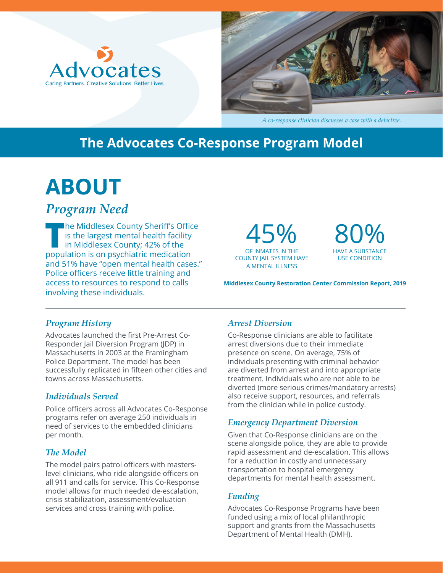



*A co-response clinician discusses a case with a detective.*

### **The Advocates Co-Response Program Model**

# **ABOUT**

### *Program Need*

**T**he Middlesex County Sheriff's Office is the largest mental health facility in Middlesex County; 42% of the population is on psychiatric medication and 51% have "open mental health cases." Police officers receive little training and access to resources to respond to calls involving these individuals.

OF INMATES IN THE 45% COUNTY JAIL SYSTEM HAVE A MENTAL ILLNESS



**Middlesex County Restoration Center Commission Report, 2019**

#### *Program History*

Advocates launched the first Pre-Arrest Co-Responder Jail Diversion Program (JDP) in Massachusetts in 2003 at the Framingham Police Department. The model has been successfully replicated in fifteen other cities and towns across Massachusetts.

#### *Individuals Served*

Police officers across all Advocates Co-Response programs refer on average 250 individuals in need of services to the embedded clinicians per month.

#### *The Model*

The model pairs patrol officers with masterslevel clinicians, who ride alongside officers on all 911 and calls for service. This Co-Response model allows for much needed de-escalation, crisis stabilization, assessment/evaluation services and cross training with police.

#### *Arrest Diversion*

Co-Response clinicians are able to facilitate arrest diversions due to their immediate presence on scene. On average, 75% of individuals presenting with criminal behavior are diverted from arrest and into appropriate treatment. Individuals who are not able to be diverted (more serious crimes/mandatory arrests) also receive support, resources, and referrals from the clinician while in police custody.

#### *Emergency Department Diversion*

Given that Co-Response clinicians are on the scene alongside police, they are able to provide rapid assessment and de-escalation. This allows for a reduction in costly and unnecessary transportation to hospital emergency departments for mental health assessment.

### *Funding*

Advocates Co-Response Programs have been funded using a mix of local philanthropic support and grants from the Massachusetts Department of Mental Health (DMH).